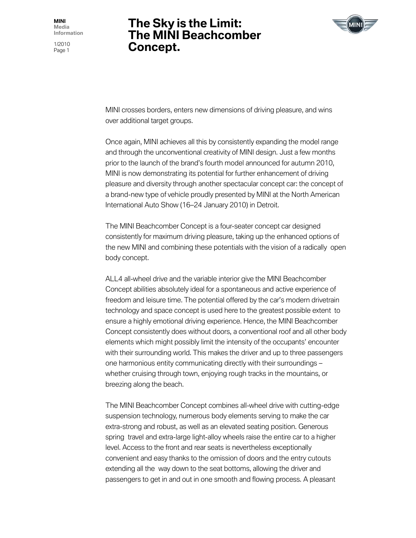1/2010 Page 1

# **The Sky is the Limit: The MINI Beachcomber Concept.**



MINI crosses borders, enters new dimensions of driving pleasure, and wins over additional target groups.

Once again, MINI achieves all this by consistently expanding the model range and through the unconventional creativity of MINI design. Just a few months prior to the launch of the brand's fourth model announced for autumn 2010, MINI is now demonstrating its potential for further enhancement of driving pleasure and diversity through another spectacular concept car: the concept of a brand-new type of vehicle proudly presented by MINI at the North American International Auto Show (16–24 January 2010) in Detroit.

The MINI Beachcomber Concept is a four-seater concept car designed consistently for maximum driving pleasure, taking up the enhanced options of the new MINI and combining these potentials with the vision of a radically open body concept.

ALL4 all-wheel drive and the variable interior give the MINI Beachcomber Concept abilities absolutely ideal for a spontaneous and active experience of freedom and leisure time. The potential offered by the car's modern drivetrain technology and space concept is used here to the greatest possible extent to ensure a highly emotional driving experience. Hence, the MINI Beachcomber Concept consistently does without doors, a conventional roof and all other body elements which might possibly limit the intensity of the occupants' encounter with their surrounding world. This makes the driver and up to three passengers one harmonious entity communicating directly with their surroundings – whether cruising through town, enjoying rough tracks in the mountains, or breezing along the beach.

The MINI Beachcomber Concept combines all-wheel drive with cutting-edge suspension technology, numerous body elements serving to make the car extra-strong and robust, as well as an elevated seating position. Generous spring travel and extra-large light-alloy wheels raise the entire car to a higher level. Access to the front and rear seats is nevertheless exceptionally convenient and easy thanks to the omission of doors and the entry cutouts extending all the way down to the seat bottoms, allowing the driver and passengers to get in and out in one smooth and flowing process. A pleasant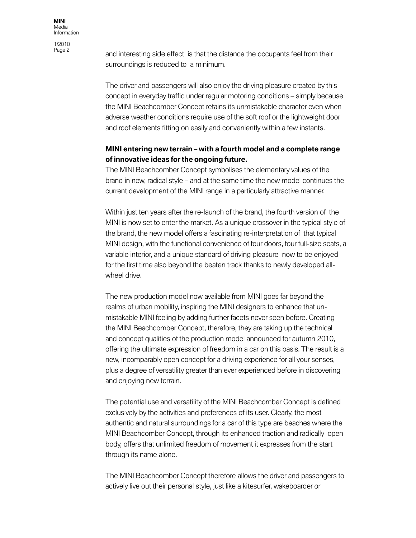1/2010

and interesting side effect is that the distance the occupants feel from their surroundings is reduced to a minimum.

The driver and passengers will also enjoy the driving pleasure created by this concept in everyday traffic under regular motoring conditions – simply because the MINI Beachcomber Concept retains its unmistakable character even when adverse weather conditions require use of the soft roof or the lightweight door and roof elements fitting on easily and conveniently within a few instants.

## **MINI entering new terrain – with a fourth model and a complete range of innovative ideas for the ongoing future.**

The MINI Beachcomber Concept symbolises the elementary values of the brand in new, radical style – and at the same time the new model continues the current development of the MINI range in a particularly attractive manner.

Within just ten years after the re-launch of the brand, the fourth version of the MINI is now set to enter the market. As a unique crossover in the typical style of the brand, the new model offers a fascinating re-interpretation of that typical MINI design, with the functional convenience of four doors, four full-size seats, a variable interior, and a unique standard of driving pleasure now to be enjoyed for the first time also beyond the beaten track thanks to newly developed allwheel drive.

The new production model now available from MINI goes far beyond the realms of urban mobility, inspiring the MINI designers to enhance that unmistakable MINI feeling by adding further facets never seen before. Creating the MINI Beachcomber Concept, therefore, they are taking up the technical and concept qualities of the production model announced for autumn 2010, offering the ultimate expression of freedom in a car on this basis. The result is a new, incomparably open concept for a driving experience for all your senses, plus a degree of versatility greater than ever experienced before in discovering and enjoying new terrain.

The potential use and versatility of the MINI Beachcomber Concept is defined exclusively by the activities and preferences of its user. Clearly, the most authentic and natural surroundings for a car of this type are beaches where the MINI Beachcomber Concept, through its enhanced traction and radically open body, offers that unlimited freedom of movement it expresses from the start through its name alone.

The MINI Beachcomber Concept therefore allows the driver and passengers to actively live out their personal style, just like a kitesurfer, wakeboarder or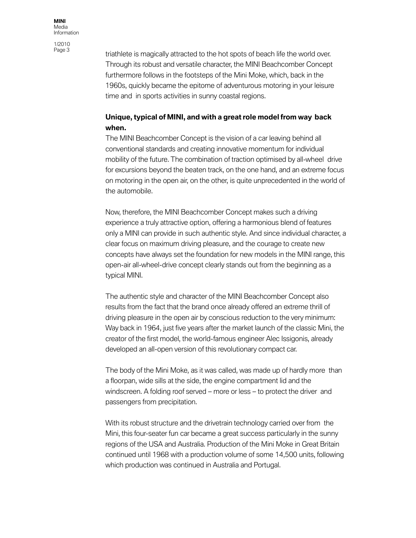1/2010<br>Page 3

triathlete is magically attracted to the hot spots of beach life the world over. Through its robust and versatile character, the MINI Beachcomber Concept furthermore follows in the footsteps of the Mini Moke, which, back in the 1960s, quickly became the epitome of adventurous motoring in your leisure time and in sports activities in sunny coastal regions.

## **Unique, typical of MINI, and with a great role model from way back when.**

The MINI Beachcomber Concept is the vision of a car leaving behind all conventional standards and creating innovative momentum for individual mobility of the future. The combination of traction optimised by all-wheel drive for excursions beyond the beaten track, on the one hand, and an extreme focus on motoring in the open air, on the other, is quite unprecedented in the world of the automobile.

Now, therefore, the MINI Beachcomber Concept makes such a driving experience a truly attractive option, offering a harmonious blend of features only a MINI can provide in such authentic style. And since individual character, a clear focus on maximum driving pleasure, and the courage to create new concepts have always set the foundation for new models in the MINI range, this open-air all-wheel-drive concept clearly stands out from the beginning as a typical MINI.

The authentic style and character of the MINI Beachcomber Concept also results from the fact that the brand once already offered an extreme thrill of driving pleasure in the open air by conscious reduction to the very minimum: Way back in 1964, just five years after the market launch of the classic Mini, the creator of the first model, the world-famous engineer Alec Issigonis, already developed an all-open version of this revolutionary compact car.

The body of the Mini Moke, as it was called, was made up of hardly more than a floorpan, wide sills at the side, the engine compartment lid and the windscreen. A folding roof served – more or less – to protect the driver and passengers from precipitation.

With its robust structure and the drivetrain technology carried over from the Mini, this four-seater fun car became a great success particularly in the sunny regions of the USA and Australia. Production of the Mini Moke in Great Britain continued until 1968 with a production volume of some 14,500 units, following which production was continued in Australia and Portugal.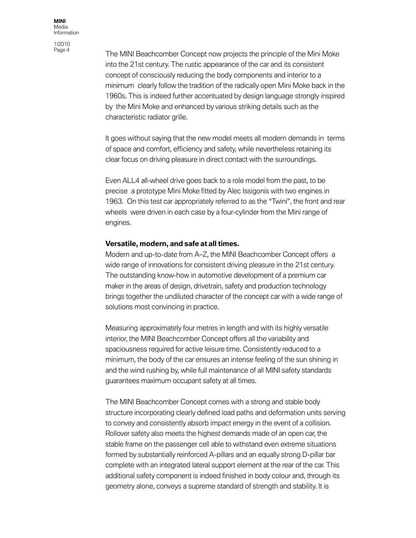1/2010

The MINI Beachcomber Concept now projects the principle of the Mini Moke into the 21st century. The rustic appearance of the car and its consistent concept of consciously reducing the body components and interior to a minimum clearly follow the tradition of the radically open Mini Moke back in the 1960s. This is indeed further accentuated by design language strongly inspired by the Mini Moke and enhanced by various striking details such as the characteristic radiator grille.

It goes without saying that the new model meets all modern demands in terms of space and comfort, efficiency and safety, while nevertheless retaining its clear focus on driving pleasure in direct contact with the surroundings.

Even ALL4 all-wheel drive goes back to a role model from the past, to be precise a prototype Mini Moke fitted by Alec Issigonis with two engines in 1963. On this test car appropriately referred to as the "Twini", the front and rear wheels were driven in each case by a four-cylinder from the Mini range of engines.

#### **Versatile, modern, and safe at all times.**

Modern and up-to-date from A–Z, the MINI Beachcomber Concept offers a wide range of innovations for consistent driving pleasure in the 21st century. The outstanding know-how in automotive development of a premium car maker in the areas of design, drivetrain, safety and production technology brings together the undiluted character of the concept car with a wide range of solutions most convincing in practice.

Measuring approximately four metres in length and with its highly versatile interior, the MINI Beachcomber Concept offers all the variability and spaciousness required for active leisure time. Consistently reduced to a minimum, the body of the car ensures an intense feeling of the sun shining in and the wind rushing by, while full maintenance of all MINI safety standards guarantees maximum occupant safety at all times.

The MINI Beachcomber Concept comes with a strong and stable body structure incorporating clearly defined load paths and deformation units serving to convey and consistently absorb impact energy in the event of a collision. Rollover safety also meets the highest demands made of an open car, the stable frame on the passenger cell able to withstand even extreme situations formed by substantially reinforced A-pillars and an equally strong D-pillar bar complete with an integrated lateral support element at the rear of the car. This additional safety component is indeed finished in body colour and, through its geometry alone, conveys a supreme standard of strength and stability. It is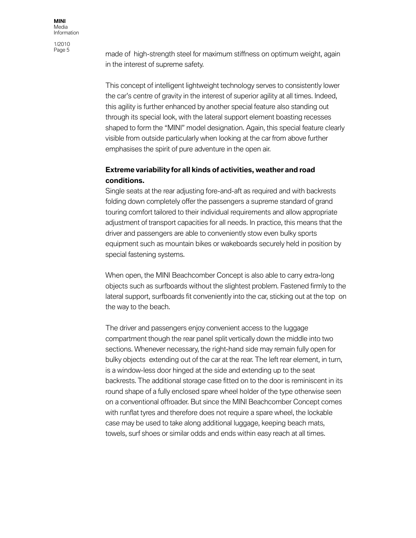1/2010<br>Page 5

made of high-strength steel for maximum stiffness on optimum weight, again in the interest of supreme safety.

This concept of intelligent lightweight technology serves to consistently lower the car's centre of gravity in the interest of superior agility at all times. Indeed, this agility is further enhanced by another special feature also standing out through its special look, with the lateral support element boasting recesses shaped to form the "MINI" model designation. Again, this special feature clearly visible from outside particularly when looking at the car from above further emphasises the spirit of pure adventure in the open air.

### **Extreme variability for all kinds of activities, weather and road conditions.**

Single seats at the rear adjusting fore-and-aft as required and with backrests folding down completely offer the passengers a supreme standard of grand touring comfort tailored to their individual requirements and allow appropriate adjustment of transport capacities for all needs. In practice, this means that the driver and passengers are able to conveniently stow even bulky sports equipment such as mountain bikes or wakeboards securely held in position by special fastening systems.

When open, the MINI Beachcomber Concept is also able to carry extra-long objects such as surfboards without the slightest problem. Fastened firmly to the lateral support, surfboards fit conveniently into the car, sticking out at the top on the way to the beach.

The driver and passengers enjoy convenient access to the luggage compartment though the rear panel split vertically down the middle into two sections. Whenever necessary, the right-hand side may remain fully open for bulky objects extending out of the car at the rear. The left rear element, in turn, is a window-less door hinged at the side and extending up to the seat backrests. The additional storage case fitted on to the door is reminiscent in its round shape of a fully enclosed spare wheel holder of the type otherwise seen on a conventional offroader. But since the MINI Beachcomber Concept comes with runflat tyres and therefore does not require a spare wheel, the lockable case may be used to take along additional luggage, keeping beach mats, towels, surf shoes or similar odds and ends within easy reach at all times.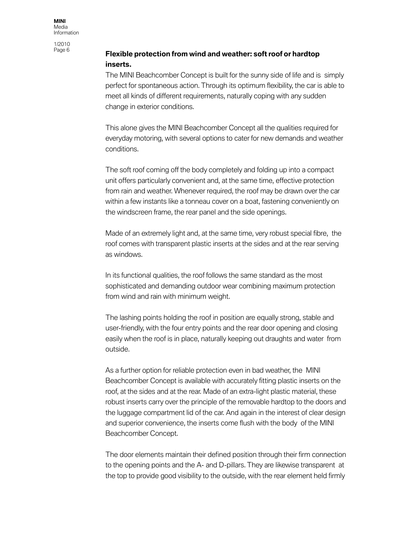1/2010<br>Page 6

## **Flexible protection from wind and weather: soft roof or hardtop inserts.**

The MINI Beachcomber Concept is built for the sunny side of life and is simply perfect for spontaneous action. Through its optimum flexibility, the car is able to meet all kinds of different requirements, naturally coping with any sudden change in exterior conditions.

This alone gives the MINI Beachcomber Concept all the qualities required for everyday motoring, with several options to cater for new demands and weather conditions.

The soft roof coming off the body completely and folding up into a compact unit offers particularly convenient and, at the same time, effective protection from rain and weather. Whenever required, the roof may be drawn over the car within a few instants like a tonneau cover on a boat, fastening conveniently on the windscreen frame, the rear panel and the side openings.

Made of an extremely light and, at the same time, very robust special fibre, the roof comes with transparent plastic inserts at the sides and at the rear serving as windows.

In its functional qualities, the roof follows the same standard as the most sophisticated and demanding outdoor wear combining maximum protection from wind and rain with minimum weight.

The lashing points holding the roof in position are equally strong, stable and user-friendly, with the four entry points and the rear door opening and closing easily when the roof is in place, naturally keeping out draughts and water from outside.

As a further option for reliable protection even in bad weather, the MINI Beachcomber Concept is available with accurately fitting plastic inserts on the roof, at the sides and at the rear. Made of an extra-light plastic material, these robust inserts carry over the principle of the removable hardtop to the doors and the luggage compartment lid of the car. And again in the interest of clear design and superior convenience, the inserts come flush with the body of the MINI Beachcomber Concept.

The door elements maintain their defined position through their firm connection to the opening points and the A- and D-pillars. They are likewise transparent at the top to provide good visibility to the outside, with the rear element held firmly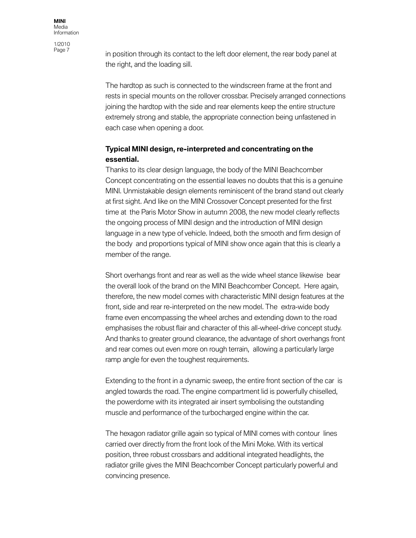1/2010<br>Page 7

in position through its contact to the left door element, the rear body panel at the right, and the loading sill.

The hardtop as such is connected to the windscreen frame at the front and rests in special mounts on the rollover crossbar. Precisely arranged connections joining the hardtop with the side and rear elements keep the entire structure extremely strong and stable, the appropriate connection being unfastened in each case when opening a door.

#### **Typical MINI design, re-interpreted and concentrating on the essential.**

Thanks to its clear design language, the body of the MINI Beachcomber Concept concentrating on the essential leaves no doubts that this is a genuine MINI. Unmistakable design elements reminiscent of the brand stand out clearly at first sight. And like on the MINI Crossover Concept presented for the first time at the Paris Motor Show in autumn 2008, the new model clearly reflects the ongoing process of MINI design and the introduction of MINI design language in a new type of vehicle. Indeed, both the smooth and firm design of the body and proportions typical of MINI show once again that this is clearly a member of the range.

Short overhangs front and rear as well as the wide wheel stance likewise bear the overall look of the brand on the MINI Beachcomber Concept. Here again, therefore, the new model comes with characteristic MINI design features at the front, side and rear re-interpreted on the new model. The extra-wide body frame even encompassing the wheel arches and extending down to the road emphasises the robust flair and character of this all-wheel-drive concept study. And thanks to greater ground clearance, the advantage of short overhangs front and rear comes out even more on rough terrain, allowing a particularly large ramp angle for even the toughest requirements.

Extending to the front in a dynamic sweep, the entire front section of the car is angled towards the road. The engine compartment lid is powerfully chiselled, the powerdome with its integrated air insert symbolising the outstanding muscle and performance of the turbocharged engine within the car.

The hexagon radiator grille again so typical of MINI comes with contour lines carried over directly from the front look of the Mini Moke. With its vertical position, three robust crossbars and additional integrated headlights, the radiator grille gives the MINI Beachcomber Concept particularly powerful and convincing presence.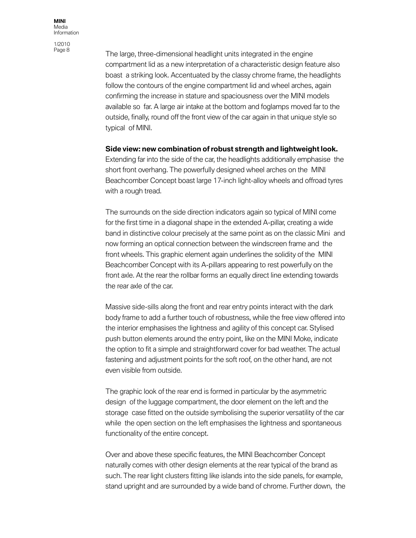1/2010

The large, three-dimensional headlight units integrated in the engine compartment lid as a new interpretation of a characteristic design feature also boast a striking look. Accentuated by the classy chrome frame, the headlights follow the contours of the engine compartment lid and wheel arches, again confirming the increase in stature and spaciousness over the MINI models available so far. A large air intake at the bottom and foglamps moved far to the outside, finally, round off the front view of the car again in that unique style so typical of MINI.

#### **Side view: new combination of robust strength and lightweight look.**

Extending far into the side of the car, the headlights additionally emphasise the short front overhang. The powerfully designed wheel arches on the MINI Beachcomber Concept boast large 17-inch light-alloy wheels and offroad tyres with a rough tread.

The surrounds on the side direction indicators again so typical of MINI come for the first time in a diagonal shape in the extended A-pillar, creating a wide band in distinctive colour precisely at the same point as on the classic Mini and now forming an optical connection between the windscreen frame and the front wheels. This graphic element again underlines the solidity of the MINI Beachcomber Concept with its A-pillars appearing to rest powerfully on the front axle. At the rear the rollbar forms an equally direct line extending towards the rear axle of the car.

Massive side-sills along the front and rear entry points interact with the dark body frame to add a further touch of robustness, while the free view offered into the interior emphasises the lightness and agility of this concept car. Stylised push button elements around the entry point, like on the MINI Moke, indicate the option to fit a simple and straightforward cover for bad weather. The actual fastening and adjustment points for the soft roof, on the other hand, are not even visible from outside.

The graphic look of the rear end is formed in particular by the asymmetric design of the luggage compartment, the door element on the left and the storage case fitted on the outside symbolising the superior versatility of the car while the open section on the left emphasises the lightness and spontaneous functionality of the entire concept.

Over and above these specific features, the MINI Beachcomber Concept naturally comes with other design elements at the rear typical of the brand as such. The rear light clusters fitting like islands into the side panels, for example, stand upright and are surrounded by a wide band of chrome. Further down, the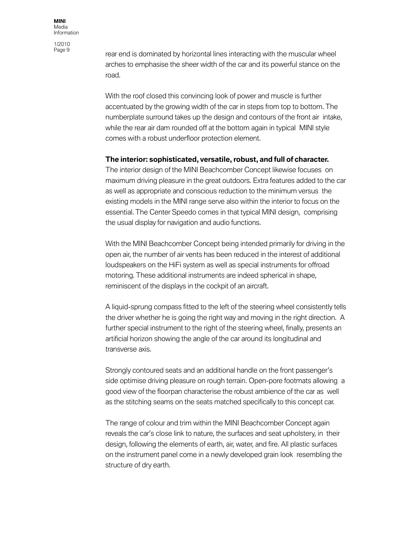1/2010

rear end is dominated by horizontal lines interacting with the muscular wheel arches to emphasise the sheer width of the car and its powerful stance on the road.

With the roof closed this convincing look of power and muscle is further accentuated by the growing width of the car in steps from top to bottom. The numberplate surround takes up the design and contours of the front air intake, while the rear air dam rounded off at the bottom again in typical MINI style comes with a robust underfloor protection element.

#### **The interior: sophisticated, versatile, robust, and full of character.**

The interior design of the MINI Beachcomber Concept likewise focuses on maximum driving pleasure in the great outdoors. Extra features added to the car as well as appropriate and conscious reduction to the minimum versus the existing models in the MINI range serve also within the interior to focus on the essential. The Center Speedo comes in that typical MINI design, comprising the usual display for navigation and audio functions.

With the MINI Beachcomber Concept being intended primarily for driving in the open air, the number of air vents has been reduced in the interest of additional loudspeakers on the HiFi system as well as special instruments for offroad motoring. These additional instruments are indeed spherical in shape, reminiscent of the displays in the cockpit of an aircraft.

A liquid-sprung compass fitted to the left of the steering wheel consistently tells the driver whether he is going the right way and moving in the right direction. A further special instrument to the right of the steering wheel, finally, presents an artificial horizon showing the angle of the car around its longitudinal and transverse axis.

Strongly contoured seats and an additional handle on the front passenger's side optimise driving pleasure on rough terrain. Open-pore footmats allowing a good view of the floorpan characterise the robust ambience of the car as well as the stitching seams on the seats matched specifically to this concept car.

The range of colour and trim within the MINI Beachcomber Concept again reveals the car's close link to nature, the surfaces and seat upholstery, in their design, following the elements of earth, air, water, and fire. All plastic surfaces on the instrument panel come in a newly developed grain look resembling the structure of dry earth.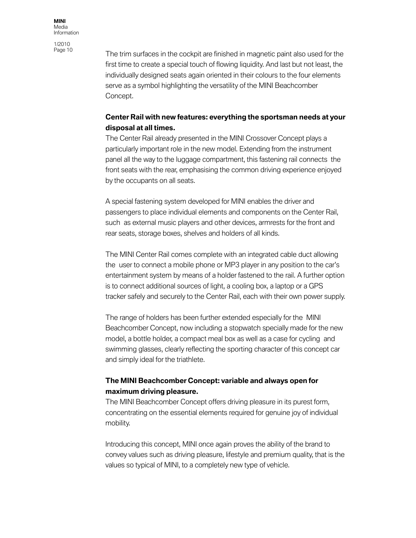1/2010<br>Page 10

The trim surfaces in the cockpit are finished in magnetic paint also used for the first time to create a special touch of flowing liquidity. And last but not least, the individually designed seats again oriented in their colours to the four elements serve as a symbol highlighting the versatility of the MINI Beachcomber Concept.

## **Center Rail with new features: everything the sportsman needs at your disposal at all times.**

The Center Rail already presented in the MINI Crossover Concept plays a particularly important role in the new model. Extending from the instrument panel all the way to the luggage compartment, this fastening rail connects the front seats with the rear, emphasising the common driving experience enjoyed by the occupants on all seats.

A special fastening system developed for MINI enables the driver and passengers to place individual elements and components on the Center Rail, such as external music players and other devices, armrests for the front and rear seats, storage boxes, shelves and holders of all kinds.

The MINI Center Rail comes complete with an integrated cable duct allowing the user to connect a mobile phone or MP3 player in any position to the car's entertainment system by means of a holder fastened to the rail. A further option is to connect additional sources of light, a cooling box, a laptop or a GPS tracker safely and securely to the Center Rail, each with their own power supply.

The range of holders has been further extended especially for the MINI Beachcomber Concept, now including a stopwatch specially made for the new model, a bottle holder, a compact meal box as well as a case for cycling and swimming glasses, clearly reflecting the sporting character of this concept car and simply ideal for the triathlete.

## **The MINI Beachcomber Concept: variable and always open for maximum driving pleasure.**

The MINI Beachcomber Concept offers driving pleasure in its purest form, concentrating on the essential elements required for genuine joy of individual mobility.

Introducing this concept, MINI once again proves the ability of the brand to convey values such as driving pleasure, lifestyle and premium quality, that is the values so typical of MINI, to a completely new type of vehicle.